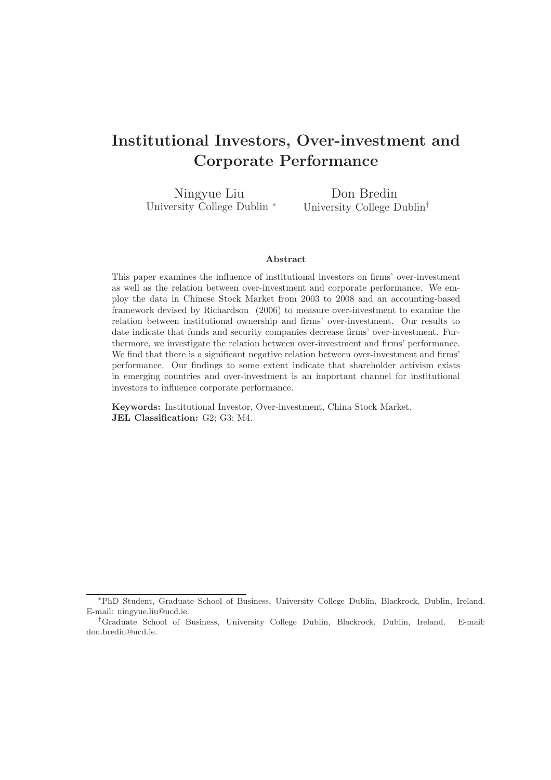# Institutional Investors, Over-investment and Corporate Performance

Ningyue Liu University College Dublin <sup>∗</sup>

Don Bredin University College Dublin†

## Abstract

This paper examines the influence of institutional investors on firms' over-investment as well as the relation between over-investment and corporate performance. We employ the data in Chinese Stock Market from 2003 to 2008 and an accounting-based framework devised by Richardson (2006) to measure over-investment to examine the relation between institutional ownership and firms' over-investment. Our results to date indicate that funds and security companies decrease firms' over-investment. Furthermore, we investigate the relation between over-investment and firms' performance. We find that there is a significant negative relation between over-investment and firms' performance. Our findings to some extent indicate that shareholder activism exists in emerging countries and over-investment is an important channel for institutional investors to influence corporate performance.

Keywords: Institutional Investor, Over-investment, China Stock Market. JEL Classification: G2; G3; M4.

<sup>∗</sup>PhD Student, Graduate School of Business, University College Dublin, Blackrock, Dublin, Ireland. E-mail: ningyue.liu@ucd.ie.

<sup>†</sup>Graduate School of Business, University College Dublin, Blackrock, Dublin, Ireland. E-mail: don.bredin@ucd.ie.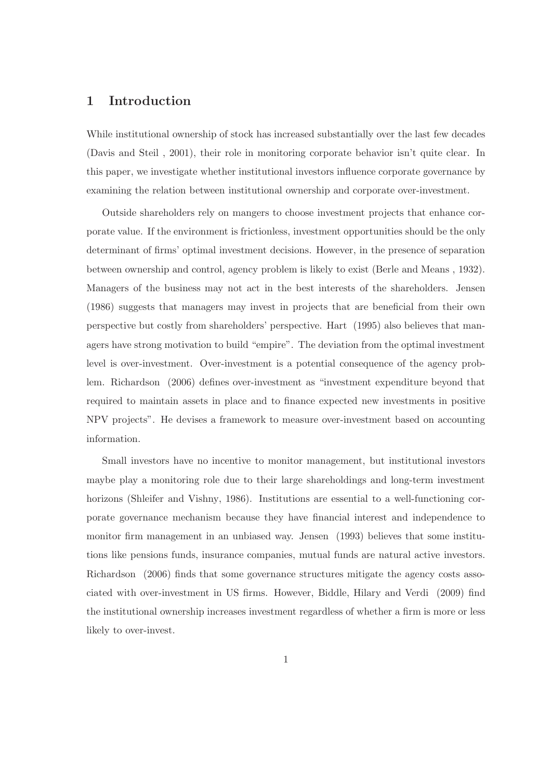# 1 Introduction

While institutional ownership of stock has increased substantially over the last few decades (Davis and Steil , 2001), their role in monitoring corporate behavior isn't quite clear. In this paper, we investigate whether institutional investors influence corporate governance by examining the relation between institutional ownership and corporate over-investment.

Outside shareholders rely on mangers to choose investment projects that enhance corporate value. If the environment is frictionless, investment opportunities should be the only determinant of firms' optimal investment decisions. However, in the presence of separation between ownership and control, agency problem is likely to exist (Berle and Means , 1932). Managers of the business may not act in the best interests of the shareholders. Jensen (1986) suggests that managers may invest in projects that are beneficial from their own perspective but costly from shareholders' perspective. Hart (1995) also believes that managers have strong motivation to build "empire". The deviation from the optimal investment level is over-investment. Over-investment is a potential consequence of the agency problem. Richardson (2006) defines over-investment as "investment expenditure beyond that required to maintain assets in place and to finance expected new investments in positive NPV projects". He devises a framework to measure over-investment based on accounting information.

Small investors have no incentive to monitor management, but institutional investors maybe play a monitoring role due to their large shareholdings and long-term investment horizons (Shleifer and Vishny, 1986). Institutions are essential to a well-functioning corporate governance mechanism because they have financial interest and independence to monitor firm management in an unbiased way. Jensen (1993) believes that some institutions like pensions funds, insurance companies, mutual funds are natural active investors. Richardson (2006) finds that some governance structures mitigate the agency costs associated with over-investment in US firms. However, Biddle, Hilary and Verdi (2009) find the institutional ownership increases investment regardless of whether a firm is more or less likely to over-invest.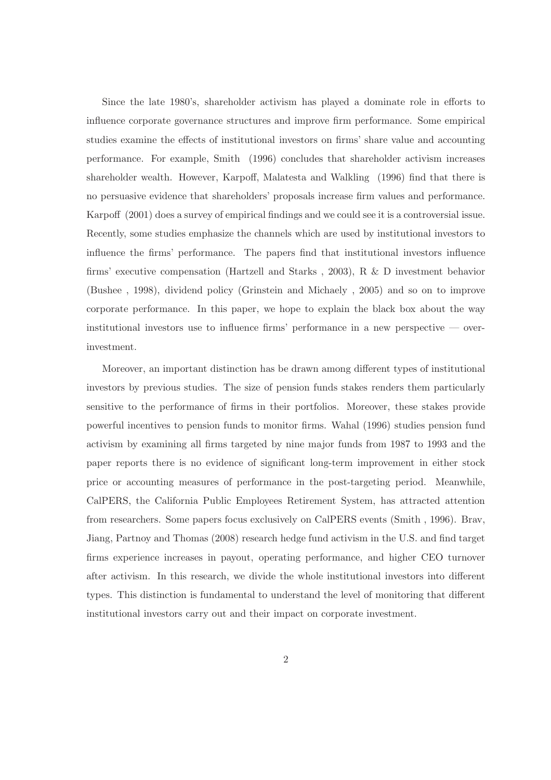Since the late 1980's, shareholder activism has played a dominate role in efforts to influence corporate governance structures and improve firm performance. Some empirical studies examine the effects of institutional investors on firms' share value and accounting performance. For example, Smith (1996) concludes that shareholder activism increases shareholder wealth. However, Karpoff, Malatesta and Walkling (1996) find that there is no persuasive evidence that shareholders' proposals increase firm values and performance. Karpoff (2001) does a survey of empirical findings and we could see it is a controversial issue. Recently, some studies emphasize the channels which are used by institutional investors to influence the firms' performance. The papers find that institutional investors influence firms' executive compensation (Hartzell and Starks , 2003), R & D investment behavior (Bushee , 1998), dividend policy (Grinstein and Michaely , 2005) and so on to improve corporate performance. In this paper, we hope to explain the black box about the way institutional investors use to influence firms' performance in a new perspective  $\sim$  overinvestment.

Moreover, an important distinction has be drawn among different types of institutional investors by previous studies. The size of pension funds stakes renders them particularly sensitive to the performance of firms in their portfolios. Moreover, these stakes provide powerful incentives to pension funds to monitor firms. Wahal (1996) studies pension fund activism by examining all firms targeted by nine major funds from 1987 to 1993 and the paper reports there is no evidence of significant long-term improvement in either stock price or accounting measures of performance in the post-targeting period. Meanwhile, CalPERS, the California Public Employees Retirement System, has attracted attention from researchers. Some papers focus exclusively on CalPERS events (Smith , 1996). Brav, Jiang, Partnoy and Thomas (2008) research hedge fund activism in the U.S. and find target firms experience increases in payout, operating performance, and higher CEO turnover after activism. In this research, we divide the whole institutional investors into different types. This distinction is fundamental to understand the level of monitoring that different institutional investors carry out and their impact on corporate investment.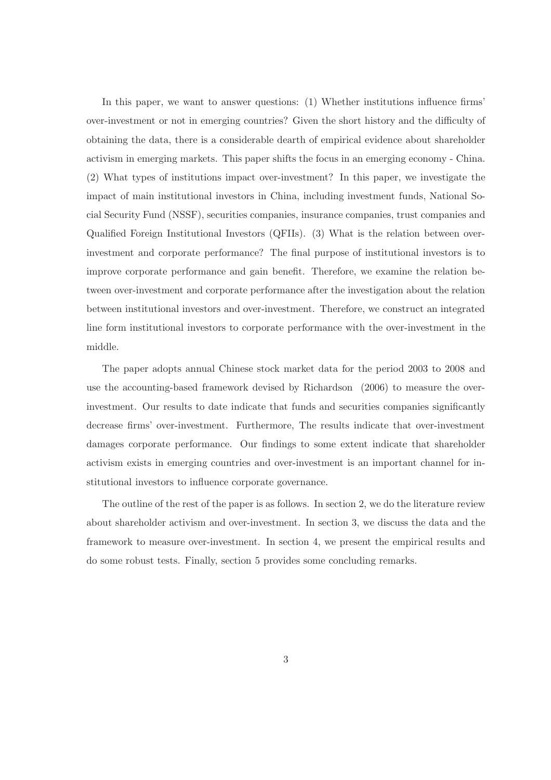In this paper, we want to answer questions: (1) Whether institutions influence firms' over-investment or not in emerging countries? Given the short history and the difficulty of obtaining the data, there is a considerable dearth of empirical evidence about shareholder activism in emerging markets. This paper shifts the focus in an emerging economy - China. (2) What types of institutions impact over-investment? In this paper, we investigate the impact of main institutional investors in China, including investment funds, National Social Security Fund (NSSF), securities companies, insurance companies, trust companies and Qualified Foreign Institutional Investors (QFIIs). (3) What is the relation between overinvestment and corporate performance? The final purpose of institutional investors is to improve corporate performance and gain benefit. Therefore, we examine the relation between over-investment and corporate performance after the investigation about the relation between institutional investors and over-investment. Therefore, we construct an integrated line form institutional investors to corporate performance with the over-investment in the middle.

The paper adopts annual Chinese stock market data for the period 2003 to 2008 and use the accounting-based framework devised by Richardson (2006) to measure the overinvestment. Our results to date indicate that funds and securities companies significantly decrease firms' over-investment. Furthermore, The results indicate that over-investment damages corporate performance. Our findings to some extent indicate that shareholder activism exists in emerging countries and over-investment is an important channel for institutional investors to influence corporate governance.

The outline of the rest of the paper is as follows. In section 2, we do the literature review about shareholder activism and over-investment. In section 3, we discuss the data and the framework to measure over-investment. In section 4, we present the empirical results and do some robust tests. Finally, section 5 provides some concluding remarks.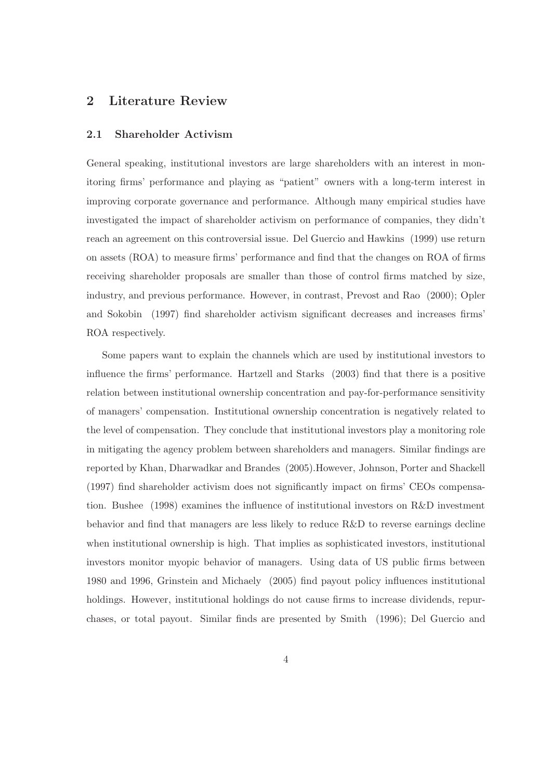# 2 Literature Review

### 2.1 Shareholder Activism

General speaking, institutional investors are large shareholders with an interest in monitoring firms' performance and playing as "patient" owners with a long-term interest in improving corporate governance and performance. Although many empirical studies have investigated the impact of shareholder activism on performance of companies, they didn't reach an agreement on this controversial issue. Del Guercio and Hawkins (1999) use return on assets (ROA) to measure firms' performance and find that the changes on ROA of firms receiving shareholder proposals are smaller than those of control firms matched by size, industry, and previous performance. However, in contrast, Prevost and Rao (2000); Opler and Sokobin (1997) find shareholder activism significant decreases and increases firms' ROA respectively.

Some papers want to explain the channels which are used by institutional investors to influence the firms' performance. Hartzell and Starks (2003) find that there is a positive relation between institutional ownership concentration and pay-for-performance sensitivity of managers' compensation. Institutional ownership concentration is negatively related to the level of compensation. They conclude that institutional investors play a monitoring role in mitigating the agency problem between shareholders and managers. Similar findings are reported by Khan, Dharwadkar and Brandes (2005).However, Johnson, Porter and Shackell (1997) find shareholder activism does not significantly impact on firms' CEOs compensation. Bushee (1998) examines the influence of institutional investors on R&D investment behavior and find that managers are less likely to reduce R&D to reverse earnings decline when institutional ownership is high. That implies as sophisticated investors, institutional investors monitor myopic behavior of managers. Using data of US public firms between 1980 and 1996, Grinstein and Michaely (2005) find payout policy influences institutional holdings. However, institutional holdings do not cause firms to increase dividends, repurchases, or total payout. Similar finds are presented by Smith (1996); Del Guercio and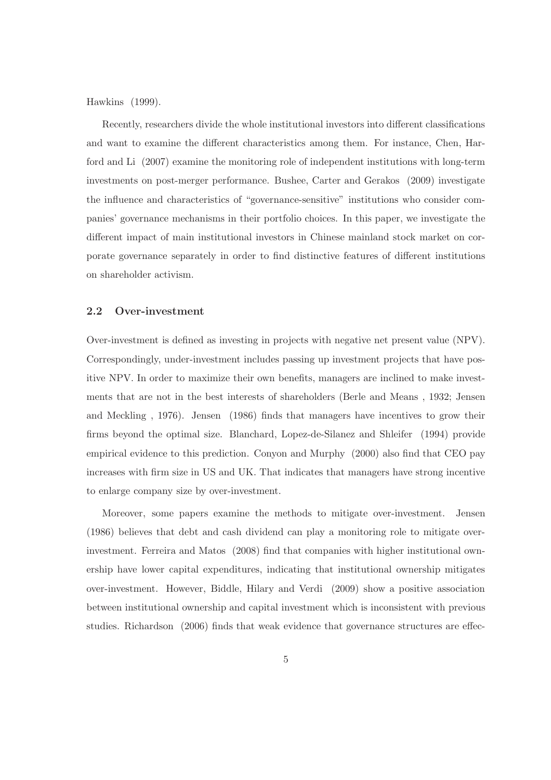Hawkins (1999).

Recently, researchers divide the whole institutional investors into different classifications and want to examine the different characteristics among them. For instance, Chen, Harford and Li (2007) examine the monitoring role of independent institutions with long-term investments on post-merger performance. Bushee, Carter and Gerakos (2009) investigate the influence and characteristics of "governance-sensitive" institutions who consider companies' governance mechanisms in their portfolio choices. In this paper, we investigate the different impact of main institutional investors in Chinese mainland stock market on corporate governance separately in order to find distinctive features of different institutions on shareholder activism.

### 2.2 Over-investment

Over-investment is defined as investing in projects with negative net present value (NPV). Correspondingly, under-investment includes passing up investment projects that have positive NPV. In order to maximize their own benefits, managers are inclined to make investments that are not in the best interests of shareholders (Berle and Means , 1932; Jensen and Meckling , 1976). Jensen (1986) finds that managers have incentives to grow their firms beyond the optimal size. Blanchard, Lopez-de-Silanez and Shleifer (1994) provide empirical evidence to this prediction. Conyon and Murphy (2000) also find that CEO pay increases with firm size in US and UK. That indicates that managers have strong incentive to enlarge company size by over-investment.

Moreover, some papers examine the methods to mitigate over-investment. Jensen (1986) believes that debt and cash dividend can play a monitoring role to mitigate overinvestment. Ferreira and Matos (2008) find that companies with higher institutional ownership have lower capital expenditures, indicating that institutional ownership mitigates over-investment. However, Biddle, Hilary and Verdi (2009) show a positive association between institutional ownership and capital investment which is inconsistent with previous studies. Richardson (2006) finds that weak evidence that governance structures are effec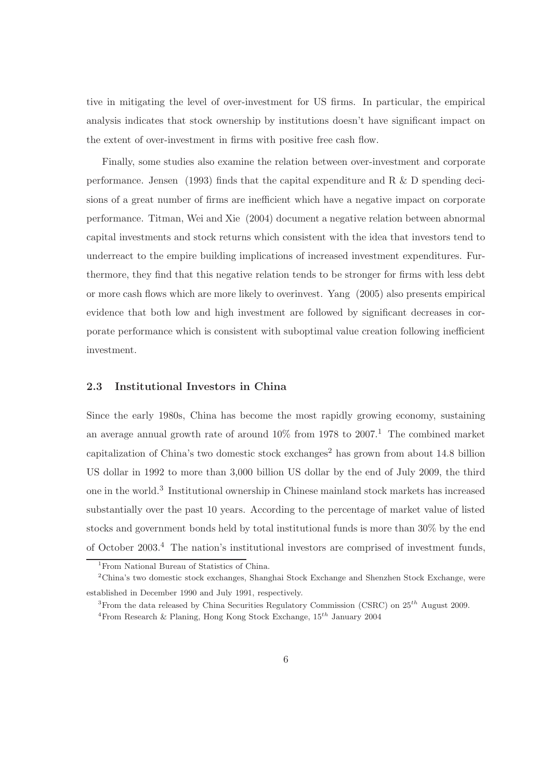tive in mitigating the level of over-investment for US firms. In particular, the empirical analysis indicates that stock ownership by institutions doesn't have significant impact on the extent of over-investment in firms with positive free cash flow.

Finally, some studies also examine the relation between over-investment and corporate performance. Jensen (1993) finds that the capital expenditure and R & D spending decisions of a great number of firms are inefficient which have a negative impact on corporate performance. Titman, Wei and Xie (2004) document a negative relation between abnormal capital investments and stock returns which consistent with the idea that investors tend to underreact to the empire building implications of increased investment expenditures. Furthermore, they find that this negative relation tends to be stronger for firms with less debt or more cash flows which are more likely to overinvest. Yang (2005) also presents empirical evidence that both low and high investment are followed by significant decreases in corporate performance which is consistent with suboptimal value creation following inefficient investment.

# 2.3 Institutional Investors in China

Since the early 1980s, China has become the most rapidly growing economy, sustaining an average annual growth rate of around  $10\%$  from 1978 to  $2007<sup>1</sup>$ . The combined market capitalization of China's two domestic stock exchanges<sup>2</sup> has grown from about  $14.8$  billion US dollar in 1992 to more than 3,000 billion US dollar by the end of July 2009, the third one in the world.<sup>3</sup> Institutional ownership in Chinese mainland stock markets has increased substantially over the past 10 years. According to the percentage of market value of listed stocks and government bonds held by total institutional funds is more than 30% by the end of October 2003.<sup>4</sup> The nation's institutional investors are comprised of investment funds,

<sup>&</sup>lt;sup>1</sup>From National Bureau of Statistics of China.

<sup>2</sup>China's two domestic stock exchanges, Shanghai Stock Exchange and Shenzhen Stock Exchange, were established in December 1990 and July 1991, respectively.

<sup>&</sup>lt;sup>3</sup>From the data released by China Securities Regulatory Commission (CSRC) on  $25^{th}$  August 2009. <sup>4</sup>From Research & Planing, Hong Kong Stock Exchange,  $15^{th}$  January 2004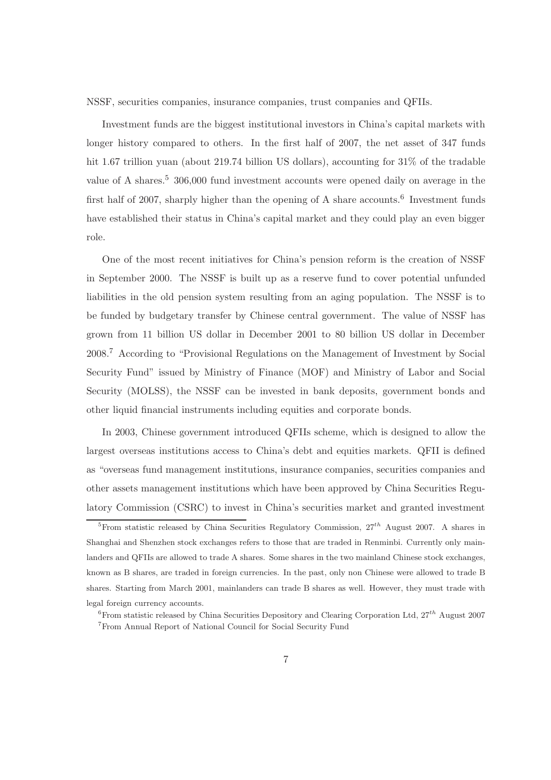NSSF, securities companies, insurance companies, trust companies and QFIIs.

Investment funds are the biggest institutional investors in China's capital markets with longer history compared to others. In the first half of 2007, the net asset of 347 funds hit 1.67 trillion yuan (about 219.74 billion US dollars), accounting for  $31\%$  of the tradable value of A shares.<sup>5</sup> 306,000 fund investment accounts were opened daily on average in the first half of 2007, sharply higher than the opening of A share accounts.<sup>6</sup> Investment funds have established their status in China's capital market and they could play an even bigger role.

One of the most recent initiatives for China's pension reform is the creation of NSSF in September 2000. The NSSF is built up as a reserve fund to cover potential unfunded liabilities in the old pension system resulting from an aging population. The NSSF is to be funded by budgetary transfer by Chinese central government. The value of NSSF has grown from 11 billion US dollar in December 2001 to 80 billion US dollar in December 2008.<sup>7</sup> According to "Provisional Regulations on the Management of Investment by Social Security Fund" issued by Ministry of Finance (MOF) and Ministry of Labor and Social Security (MOLSS), the NSSF can be invested in bank deposits, government bonds and other liquid financial instruments including equities and corporate bonds.

In 2003, Chinese government introduced QFIIs scheme, which is designed to allow the largest overseas institutions access to China's debt and equities markets. QFII is defined as "overseas fund management institutions, insurance companies, securities companies and other assets management institutions which have been approved by China Securities Regulatory Commission (CSRC) to invest in China's securities market and granted investment

<sup>&</sup>lt;sup>5</sup>From statistic released by China Securities Regulatory Commission,  $27^{th}$  August 2007. A shares in Shanghai and Shenzhen stock exchanges refers to those that are traded in Renminbi. Currently only mainlanders and QFIIs are allowed to trade A shares. Some shares in the two mainland Chinese stock exchanges, known as B shares, are traded in foreign currencies. In the past, only non Chinese were allowed to trade B shares. Starting from March 2001, mainlanders can trade B shares as well. However, they must trade with legal foreign currency accounts.

<sup>&</sup>lt;sup>6</sup>From statistic released by China Securities Depository and Clearing Corporation Ltd,  $27^{th}$  August 2007 <sup>7</sup>From Annual Report of National Council for Social Security Fund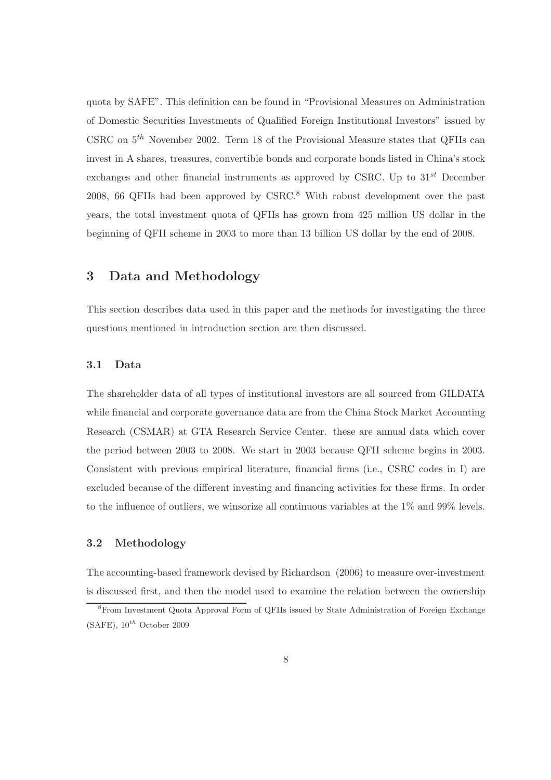quota by SAFE". This definition can be found in "Provisional Measures on Administration of Domestic Securities Investments of Qualified Foreign Institutional Investors" issued by CSRC on  $5<sup>th</sup>$  November 2002. Term 18 of the Provisional Measure states that QFIIs can invest in A shares, treasures, convertible bonds and corporate bonds listed in China's stock exchanges and other financial instruments as approved by CSRC. Up to  $31^{st}$  December 2008, 66 QFIIs had been approved by CSRC.<sup>8</sup> With robust development over the past years, the total investment quota of QFIIs has grown from 425 million US dollar in the beginning of QFII scheme in 2003 to more than 13 billion US dollar by the end of 2008.

# 3 Data and Methodology

This section describes data used in this paper and the methods for investigating the three questions mentioned in introduction section are then discussed.

## 3.1 Data

The shareholder data of all types of institutional investors are all sourced from GILDATA while financial and corporate governance data are from the China Stock Market Accounting Research (CSMAR) at GTA Research Service Center. these are annual data which cover the period between 2003 to 2008. We start in 2003 because QFII scheme begins in 2003. Consistent with previous empirical literature, financial firms (i.e., CSRC codes in I) are excluded because of the different investing and financing activities for these firms. In order to the influence of outliers, we winsorize all continuous variables at the 1% and 99% levels.

# 3.2 Methodology

The accounting-based framework devised by Richardson (2006) to measure over-investment is discussed first, and then the model used to examine the relation between the ownership

<sup>8</sup>From Investment Quota Approval Form of QFIIs issued by State Administration of Foreign Exchange  $(SAFE)$ ,  $10^{th}$  October 2009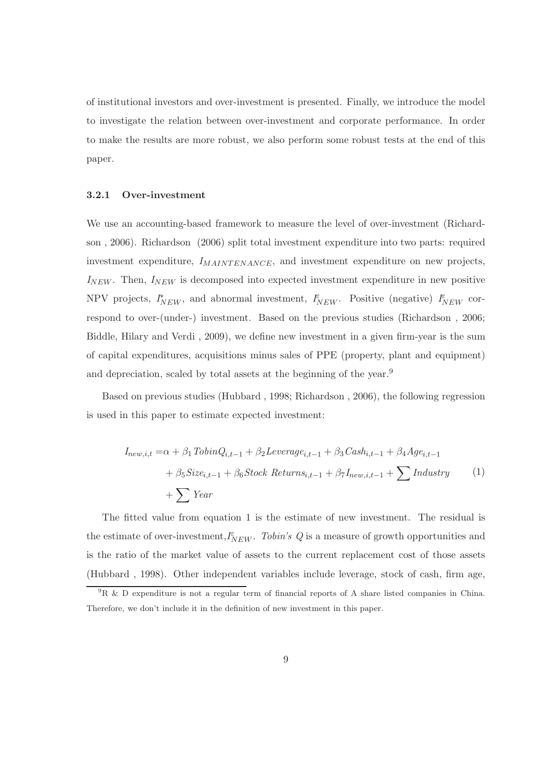of institutional investors and over-investment is presented. Finally, we introduce the model to investigate the relation between over-investment and corporate performance. In order to make the results are more robust, we also perform some robust tests at the end of this paper.

#### 3.2.1 Over-investment

We use an accounting-based framework to measure the level of over-investment (Richardson , 2006). Richardson (2006) split total investment expenditure into two parts: required investment expenditure,  $I_{MANTENANCE}$ , and investment expenditure on new projects,  $I_{NEW}$ . Then,  $I_{NEW}$  is decomposed into expected investment expenditure in new positive NPV projects,  $I_{NEW}^*$ , and abnormal investment,  $I_{NEW}^{\varepsilon}$ . Positive (negative)  $I_{NEW}^{\varepsilon}$  correspond to over-(under-) investment. Based on the previous studies (Richardson , 2006; Biddle, Hilary and Verdi , 2009), we define new investment in a given firm-year is the sum of capital expenditures, acquisitions minus sales of PPE (property, plant and equipment) and depreciation, scaled by total assets at the beginning of the year.<sup>9</sup>

Based on previous studies (Hubbard , 1998; Richardson , 2006), the following regression is used in this paper to estimate expected investment:

Inew,i,t =α + β1TobinQi,t−<sup>1</sup> + β2Leveragei,t−<sup>1</sup> + β3Cashi,t−<sup>1</sup> + β4Agei,t−<sup>1</sup> + β5Sizei,t−<sup>1</sup> + β6Stock Returnsi,t−<sup>1</sup> + β7Inew,i,t−<sup>1</sup> + XIndustry + XYear (1)

The fitted value from equation 1 is the estimate of new investment. The residual is the estimate of over-investment,  $I_{NEW}^{\varepsilon}$ . Tobin's Q is a measure of growth opportunities and is the ratio of the market value of assets to the current replacement cost of those assets (Hubbard , 1998). Other independent variables include leverage, stock of cash, firm age,

 ${}^{9}R \& D$  expenditure is not a regular term of financial reports of A share listed companies in China. Therefore, we don't include it in the definition of new investment in this paper.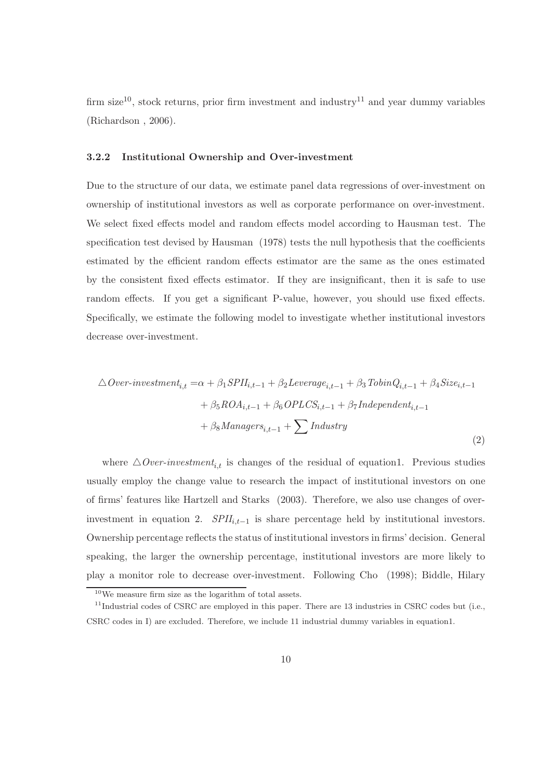firm size<sup>10</sup>, stock returns, prior firm investment and industry<sup>11</sup> and year dummy variables (Richardson , 2006).

## 3.2.2 Institutional Ownership and Over-investment

Due to the structure of our data, we estimate panel data regressions of over-investment on ownership of institutional investors as well as corporate performance on over-investment. We select fixed effects model and random effects model according to Hausman test. The specification test devised by Hausman  $(1978)$  tests the null hypothesis that the coefficients estimated by the efficient random effects estimator are the same as the ones estimated by the consistent fixed effects estimator. If they are insignificant, then it is safe to use random effects. If you get a significant P-value, however, you should use fixed effects. Specifically, we estimate the following model to investigate whether institutional investors decrease over-investment.

$$
\Delta Over-investment_{i,t} = \alpha + \beta_1 SPII_{i,t-1} + \beta_2 Leverage_{i,t-1} + \beta_3 TobinQ_{i,t-1} + \beta_4 Size_{i,t-1} + \beta_5 ROA_{i,t-1} + \beta_6 OPLCS_{i,t-1} + \beta_7 Independent_{i,t-1} + \beta_8 Management_{i,t-1} + \sum Industry
$$
\n(2)

where  $\triangle$ *Over-investment<sub>i,t</sub>* is changes of the residual of equation1. Previous studies usually employ the change value to research the impact of institutional investors on one of firms' features like Hartzell and Starks (2003). Therefore, we also use changes of overinvestment in equation 2.  $SPII_{i,t-1}$  is share percentage held by institutional investors. Ownership percentage reflects the status of institutional investors in firms' decision. General speaking, the larger the ownership percentage, institutional investors are more likely to play a monitor role to decrease over-investment. Following Cho (1998); Biddle, Hilary

<sup>10</sup>We measure firm size as the logarithm of total assets.

<sup>&</sup>lt;sup>11</sup>Industrial codes of CSRC are employed in this paper. There are 13 industries in CSRC codes but (i.e., CSRC codes in I) are excluded. Therefore, we include 11 industrial dummy variables in equation1.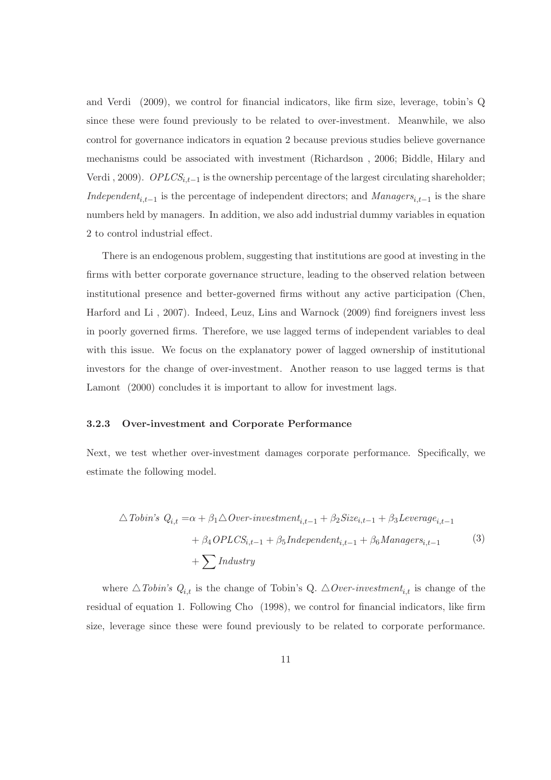and Verdi (2009), we control for financial indicators, like firm size, leverage, tobin's Q since these were found previously to be related to over-investment. Meanwhile, we also control for governance indicators in equation 2 because previous studies believe governance mechanisms could be associated with investment (Richardson , 2006; Biddle, Hilary and Verdi, 2009).  $OPLCS_{i,t-1}$  is the ownership percentage of the largest circulating shareholder; Independent<sub>i,t−1</sub> is the percentage of independent directors; and Managers<sub>i,t−1</sub> is the share numbers held by managers. In addition, we also add industrial dummy variables in equation 2 to control industrial effect.

There is an endogenous problem, suggesting that institutions are good at investing in the firms with better corporate governance structure, leading to the observed relation between institutional presence and better-governed firms without any active participation (Chen, Harford and Li , 2007). Indeed, Leuz, Lins and Warnock (2009) find foreigners invest less in poorly governed firms. Therefore, we use lagged terms of independent variables to deal with this issue. We focus on the explanatory power of lagged ownership of institutional investors for the change of over-investment. Another reason to use lagged terms is that Lamont (2000) concludes it is important to allow for investment lags.

### 3.2.3 Over-investment and Corporate Performance

Next, we test whether over-investment damages corporate performance. Specifically, we estimate the following model.

$$
\triangle \textit{Tobin's } Q_{i,t} = \alpha + \beta_1 \triangle \textit{Over-investment}_{i,t-1} + \beta_2 \textit{Size}_{i,t-1} + \beta_3 \textit{Leverage}_{i,t-1} + \beta_4 \textit{OPLCS}_{i,t-1} + \beta_5 \textit{Independent}_{i,t-1} + \beta_6 \textit{Management}_{i,t-1}
$$
\n
$$
+ \sum \textit{Industry}
$$
\n(3)

where  $\triangle$ Tobin's  $Q_{i,t}$  is the change of Tobin's Q.  $\triangle$ Over-investment<sub>i,t</sub> is change of the residual of equation 1. Following Cho (1998), we control for financial indicators, like firm size, leverage since these were found previously to be related to corporate performance.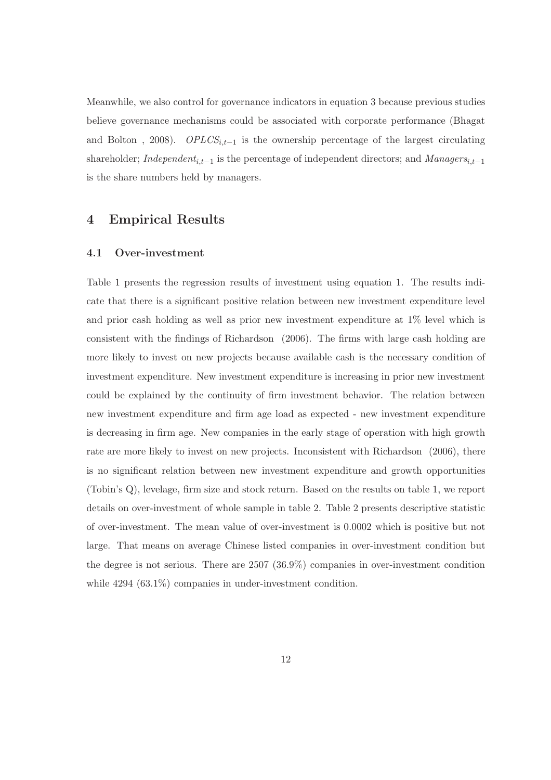Meanwhile, we also control for governance indicators in equation 3 because previous studies believe governance mechanisms could be associated with corporate performance (Bhagat and Bolton, 2008).  $OPLCS_{i,t-1}$  is the ownership percentage of the largest circulating shareholder; *Independent<sub>i,t−1</sub>* is the percentage of independent directors; and  $Manager_{i,t-1}$ is the share numbers held by managers.

# 4 Empirical Results

## 4.1 Over-investment

Table 1 presents the regression results of investment using equation 1. The results indicate that there is a significant positive relation between new investment expenditure level and prior cash holding as well as prior new investment expenditure at 1% level which is consistent with the findings of Richardson (2006). The firms with large cash holding are more likely to invest on new projects because available cash is the necessary condition of investment expenditure. New investment expenditure is increasing in prior new investment could be explained by the continuity of firm investment behavior. The relation between new investment expenditure and firm age load as expected - new investment expenditure is decreasing in firm age. New companies in the early stage of operation with high growth rate are more likely to invest on new projects. Inconsistent with Richardson (2006), there is no significant relation between new investment expenditure and growth opportunities (Tobin's Q), levelage, firm size and stock return. Based on the results on table 1, we report details on over-investment of whole sample in table 2. Table 2 presents descriptive statistic of over-investment. The mean value of over-investment is 0.0002 which is positive but not large. That means on average Chinese listed companies in over-investment condition but the degree is not serious. There are 2507 (36.9%) companies in over-investment condition while 4294 (63.1%) companies in under-investment condition.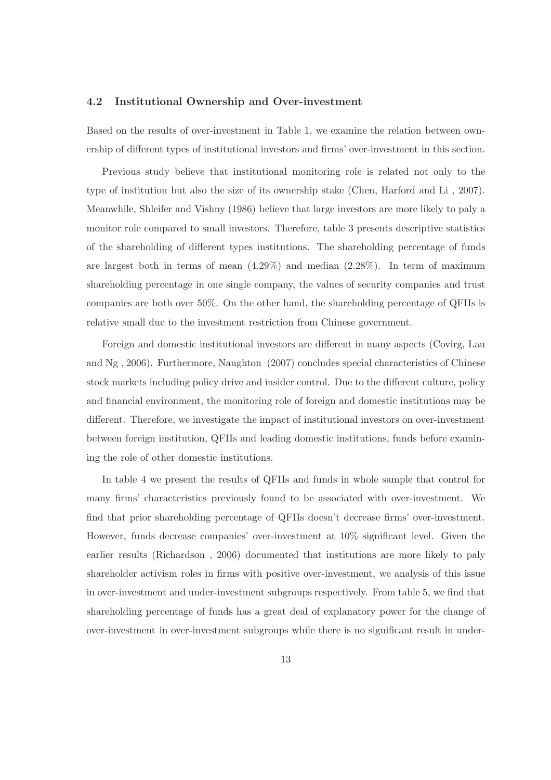### 4.2 Institutional Ownership and Over-investment

Based on the results of over-investment in Table 1, we examine the relation between ownership of different types of institutional investors and firms' over-investment in this section.

Previous study believe that institutional monitoring role is related not only to the type of institution but also the size of its ownership stake (Chen, Harford and Li , 2007). Meanwhile, Shleifer and Vishny (1986) believe that large investors are more likely to paly a monitor role compared to small investors. Therefore, table 3 presents descriptive statistics of the shareholding of different types institutions. The shareholding percentage of funds are largest both in terms of mean  $(4.29\%)$  and median  $(2.28\%)$ . In term of maximum shareholding percentage in one single company, the values of security companies and trust companies are both over 50%. On the other hand, the shareholding percentage of QFIIs is relative small due to the investment restriction from Chinese government.

Foreign and domestic institutional investors are different in many aspects (Covirg, Lau and Ng , 2006). Furthermore, Naughton (2007) concludes special characteristics of Chinese stock markets including policy drive and insider control. Due to the different culture, policy and financial environment, the monitoring role of foreign and domestic institutions may be different. Therefore, we investigate the impact of institutional investors on over-investment between foreign institution, QFIIs and leading domestic institutions, funds before examining the role of other domestic institutions.

In table 4 we present the results of QFIIs and funds in whole sample that control for many firms' characteristics previously found to be associated with over-investment. We find that prior shareholding percentage of QFIIs doesn't decrease firms' over-investment. However, funds decrease companies' over-investment at 10% significant level. Given the earlier results (Richardson , 2006) documented that institutions are more likely to paly shareholder activism roles in firms with positive over-investment, we analysis of this issue in over-investment and under-investment subgroups respectively. From table 5, we find that shareholding percentage of funds has a great deal of explanatory power for the change of over-investment in over-investment subgroups while there is no significant result in under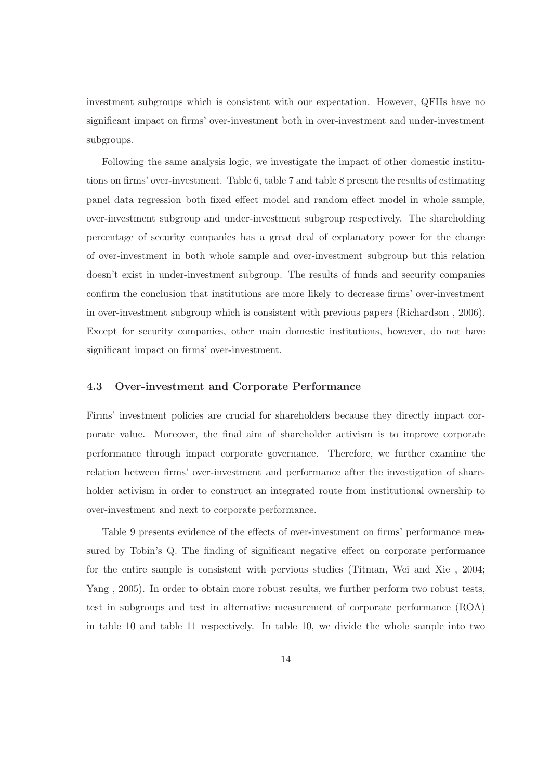investment subgroups which is consistent with our expectation. However, QFIIs have no significant impact on firms' over-investment both in over-investment and under-investment subgroups.

Following the same analysis logic, we investigate the impact of other domestic institutions on firms' over-investment. Table 6, table 7 and table 8 present the results of estimating panel data regression both fixed effect model and random effect model in whole sample, over-investment subgroup and under-investment subgroup respectively. The shareholding percentage of security companies has a great deal of explanatory power for the change of over-investment in both whole sample and over-investment subgroup but this relation doesn't exist in under-investment subgroup. The results of funds and security companies confirm the conclusion that institutions are more likely to decrease firms' over-investment in over-investment subgroup which is consistent with previous papers (Richardson , 2006). Except for security companies, other main domestic institutions, however, do not have significant impact on firms' over-investment.

# 4.3 Over-investment and Corporate Performance

Firms' investment policies are crucial for shareholders because they directly impact corporate value. Moreover, the final aim of shareholder activism is to improve corporate performance through impact corporate governance. Therefore, we further examine the relation between firms' over-investment and performance after the investigation of shareholder activism in order to construct an integrated route from institutional ownership to over-investment and next to corporate performance.

Table 9 presents evidence of the effects of over-investment on firms' performance measured by Tobin's Q. The finding of significant negative effect on corporate performance for the entire sample is consistent with pervious studies (Titman, Wei and Xie , 2004; Yang , 2005). In order to obtain more robust results, we further perform two robust tests, test in subgroups and test in alternative measurement of corporate performance (ROA) in table 10 and table 11 respectively. In table 10, we divide the whole sample into two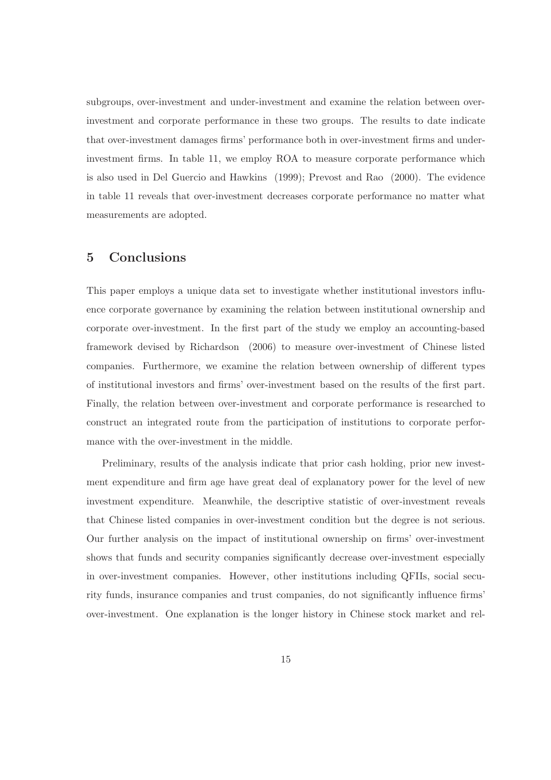subgroups, over-investment and under-investment and examine the relation between overinvestment and corporate performance in these two groups. The results to date indicate that over-investment damages firms' performance both in over-investment firms and underinvestment firms. In table 11, we employ ROA to measure corporate performance which is also used in Del Guercio and Hawkins (1999); Prevost and Rao (2000). The evidence in table 11 reveals that over-investment decreases corporate performance no matter what measurements are adopted.

# 5 Conclusions

This paper employs a unique data set to investigate whether institutional investors influence corporate governance by examining the relation between institutional ownership and corporate over-investment. In the first part of the study we employ an accounting-based framework devised by Richardson (2006) to measure over-investment of Chinese listed companies. Furthermore, we examine the relation between ownership of different types of institutional investors and firms' over-investment based on the results of the first part. Finally, the relation between over-investment and corporate performance is researched to construct an integrated route from the participation of institutions to corporate performance with the over-investment in the middle.

Preliminary, results of the analysis indicate that prior cash holding, prior new investment expenditure and firm age have great deal of explanatory power for the level of new investment expenditure. Meanwhile, the descriptive statistic of over-investment reveals that Chinese listed companies in over-investment condition but the degree is not serious. Our further analysis on the impact of institutional ownership on firms' over-investment shows that funds and security companies significantly decrease over-investment especially in over-investment companies. However, other institutions including QFIIs, social security funds, insurance companies and trust companies, do not significantly influence firms' over-investment. One explanation is the longer history in Chinese stock market and rel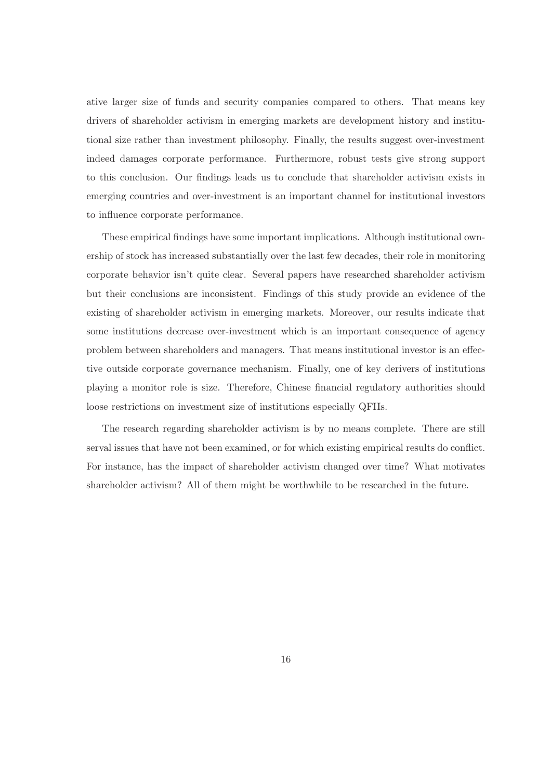ative larger size of funds and security companies compared to others. That means key drivers of shareholder activism in emerging markets are development history and institutional size rather than investment philosophy. Finally, the results suggest over-investment indeed damages corporate performance. Furthermore, robust tests give strong support to this conclusion. Our findings leads us to conclude that shareholder activism exists in emerging countries and over-investment is an important channel for institutional investors to influence corporate performance.

These empirical findings have some important implications. Although institutional ownership of stock has increased substantially over the last few decades, their role in monitoring corporate behavior isn't quite clear. Several papers have researched shareholder activism but their conclusions are inconsistent. Findings of this study provide an evidence of the existing of shareholder activism in emerging markets. Moreover, our results indicate that some institutions decrease over-investment which is an important consequence of agency problem between shareholders and managers. That means institutional investor is an effective outside corporate governance mechanism. Finally, one of key derivers of institutions playing a monitor role is size. Therefore, Chinese financial regulatory authorities should loose restrictions on investment size of institutions especially QFIIs.

The research regarding shareholder activism is by no means complete. There are still serval issues that have not been examined, or for which existing empirical results do conflict. For instance, has the impact of shareholder activism changed over time? What motivates shareholder activism? All of them might be worthwhile to be researched in the future.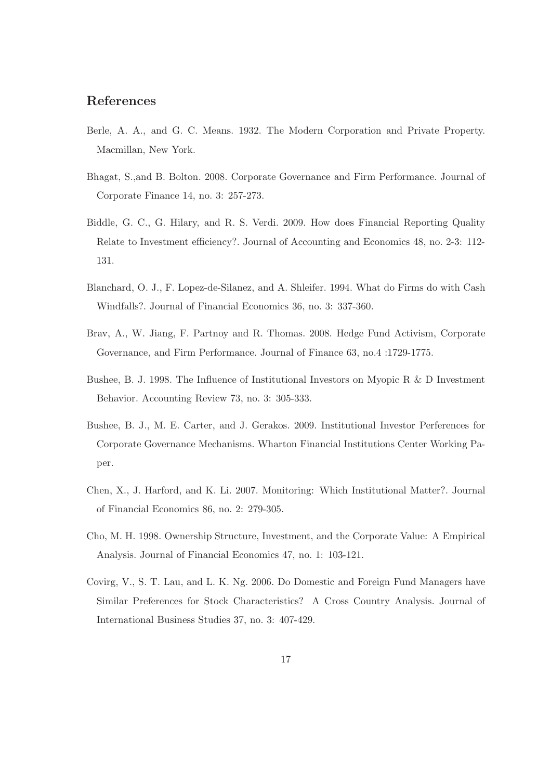# References

- Berle, A. A., and G. C. Means. 1932. The Modern Corporation and Private Property. Macmillan, New York.
- Bhagat, S.,and B. Bolton. 2008. Corporate Governance and Firm Performance. Journal of Corporate Finance 14, no. 3: 257-273.
- Biddle, G. C., G. Hilary, and R. S. Verdi. 2009. How does Financial Reporting Quality Relate to Investment efficiency?. Journal of Accounting and Economics 48, no. 2-3: 112- 131.
- Blanchard, O. J., F. Lopez-de-Silanez, and A. Shleifer. 1994. What do Firms do with Cash Windfalls?. Journal of Financial Economics 36, no. 3: 337-360.
- Brav, A., W. Jiang, F. Partnoy and R. Thomas. 2008. Hedge Fund Activism, Corporate Governance, and Firm Performance. Journal of Finance 63, no.4 :1729-1775.
- Bushee, B. J. 1998. The Influence of Institutional Investors on Myopic R & D Investment Behavior. Accounting Review 73, no. 3: 305-333.
- Bushee, B. J., M. E. Carter, and J. Gerakos. 2009. Institutional Investor Perferences for Corporate Governance Mechanisms. Wharton Financial Institutions Center Working Paper.
- Chen, X., J. Harford, and K. Li. 2007. Monitoring: Which Institutional Matter?. Journal of Financial Economics 86, no. 2: 279-305.
- Cho, M. H. 1998. Ownership Structure, Investment, and the Corporate Value: A Empirical Analysis. Journal of Financial Economics 47, no. 1: 103-121.
- Covirg, V., S. T. Lau, and L. K. Ng. 2006. Do Domestic and Foreign Fund Managers have Similar Preferences for Stock Characteristics? A Cross Country Analysis. Journal of International Business Studies 37, no. 3: 407-429.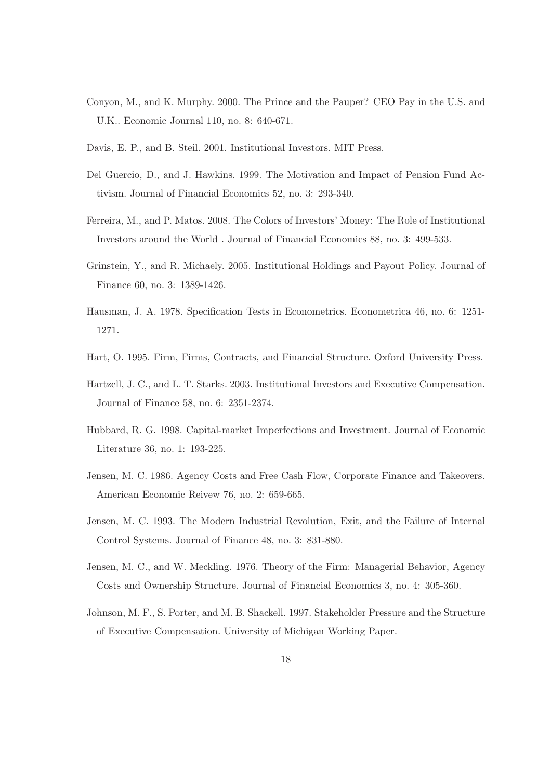- Conyon, M., and K. Murphy. 2000. The Prince and the Pauper? CEO Pay in the U.S. and U.K.. Economic Journal 110, no. 8: 640-671.
- Davis, E. P., and B. Steil. 2001. Institutional Investors. MIT Press.
- Del Guercio, D., and J. Hawkins. 1999. The Motivation and Impact of Pension Fund Activism. Journal of Financial Economics 52, no. 3: 293-340.
- Ferreira, M., and P. Matos. 2008. The Colors of Investors' Money: The Role of Institutional Investors around the World . Journal of Financial Economics 88, no. 3: 499-533.
- Grinstein, Y., and R. Michaely. 2005. Institutional Holdings and Payout Policy. Journal of Finance 60, no. 3: 1389-1426.
- Hausman, J. A. 1978. Specification Tests in Econometrics. Econometrica 46, no. 6: 1251- 1271.
- Hart, O. 1995. Firm, Firms, Contracts, and Financial Structure. Oxford University Press.
- Hartzell, J. C., and L. T. Starks. 2003. Institutional Investors and Executive Compensation. Journal of Finance 58, no. 6: 2351-2374.
- Hubbard, R. G. 1998. Capital-market Imperfections and Investment. Journal of Economic Literature 36, no. 1: 193-225.
- Jensen, M. C. 1986. Agency Costs and Free Cash Flow, Corporate Finance and Takeovers. American Economic Reivew 76, no. 2: 659-665.
- Jensen, M. C. 1993. The Modern Industrial Revolution, Exit, and the Failure of Internal Control Systems. Journal of Finance 48, no. 3: 831-880.
- Jensen, M. C., and W. Meckling. 1976. Theory of the Firm: Managerial Behavior, Agency Costs and Ownership Structure. Journal of Financial Economics 3, no. 4: 305-360.
- Johnson, M. F., S. Porter, and M. B. Shackell. 1997. Stakeholder Pressure and the Structure of Executive Compensation. University of Michigan Working Paper.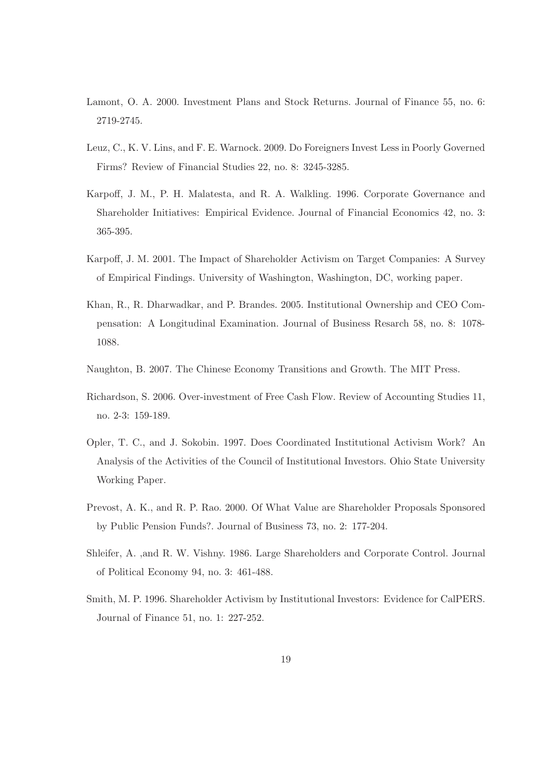- Lamont, O. A. 2000. Investment Plans and Stock Returns. Journal of Finance 55, no. 6: 2719-2745.
- Leuz, C., K. V. Lins, and F. E. Warnock. 2009. Do Foreigners Invest Less in Poorly Governed Firms? Review of Financial Studies 22, no. 8: 3245-3285.
- Karpoff, J. M., P. H. Malatesta, and R. A. Walkling. 1996. Corporate Governance and Shareholder Initiatives: Empirical Evidence. Journal of Financial Economics 42, no. 3: 365-395.
- Karpoff, J. M. 2001. The Impact of Shareholder Activism on Target Companies: A Survey of Empirical Findings. University of Washington, Washington, DC, working paper.
- Khan, R., R. Dharwadkar, and P. Brandes. 2005. Institutional Ownership and CEO Compensation: A Longitudinal Examination. Journal of Business Resarch 58, no. 8: 1078- 1088.
- Naughton, B. 2007. The Chinese Economy Transitions and Growth. The MIT Press.
- Richardson, S. 2006. Over-investment of Free Cash Flow. Review of Accounting Studies 11, no. 2-3: 159-189.
- Opler, T. C., and J. Sokobin. 1997. Does Coordinated Institutional Activism Work? An Analysis of the Activities of the Council of Institutional Investors. Ohio State University Working Paper.
- Prevost, A. K., and R. P. Rao. 2000. Of What Value are Shareholder Proposals Sponsored by Public Pension Funds?. Journal of Business 73, no. 2: 177-204.
- Shleifer, A. ,and R. W. Vishny. 1986. Large Shareholders and Corporate Control. Journal of Political Economy 94, no. 3: 461-488.
- Smith, M. P. 1996. Shareholder Activism by Institutional Investors: Evidence for CalPERS. Journal of Finance 51, no. 1: 227-252.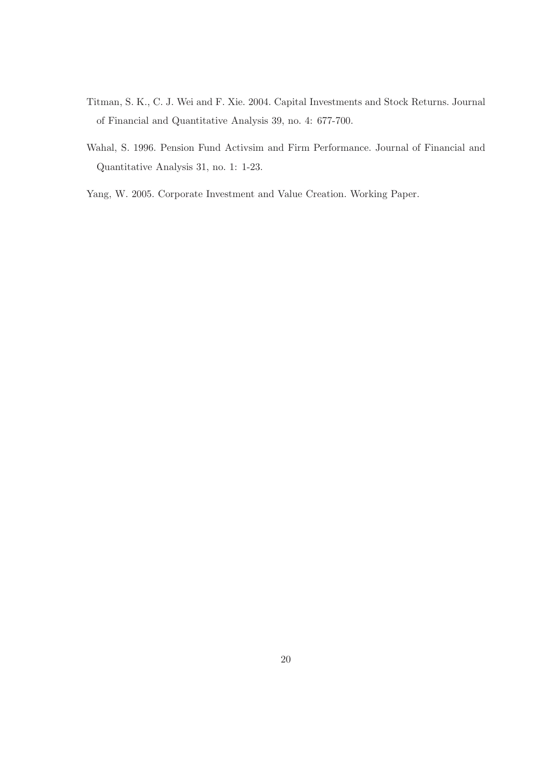- Titman, S. K., C. J. Wei and F. Xie. 2004. Capital Investments and Stock Returns. Journal of Financial and Quantitative Analysis 39, no. 4: 677-700.
- Wahal, S. 1996. Pension Fund Activsim and Firm Performance. Journal of Financial and Quantitative Analysis 31, no. 1: 1-23.
- Yang, W. 2005. Corporate Investment and Value Creation. Working Paper.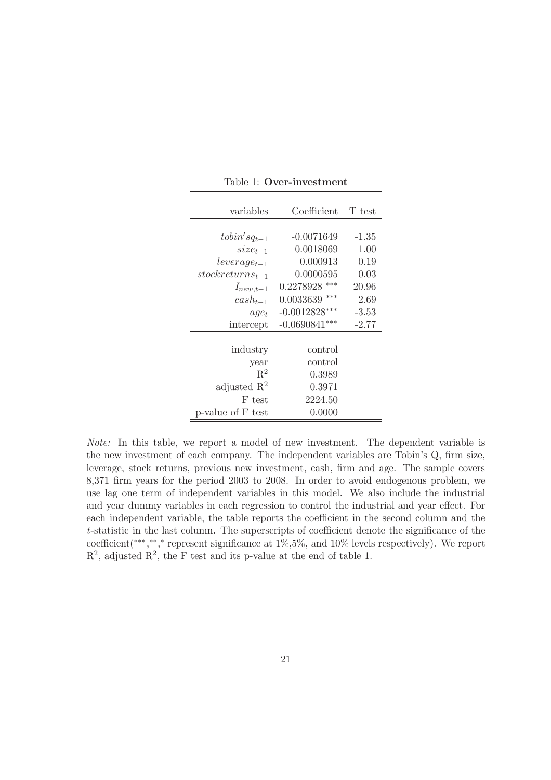| variables               | Coefficient      | T test  |
|-------------------------|------------------|---------|
|                         |                  |         |
| $to bin'sq_{t-1}$       | $-0.0071649$     | $-1.35$ |
| $size_{t-1}$            | 0.0018069        | 1.00    |
| $leverage_{t-1}$        | 0.000913         | 0.19    |
| $stock returns_{t-1}$   | 0.0000595        | 0.03    |
| $I_{new,t-1}$           | ***<br>0.2278928 | 20.96   |
| $cash_{t-1}$            | ***<br>0.0033639 | 2.69    |
| $age_t$                 | $-0.0012828***$  | $-3.53$ |
| intercept               | $-0.0690841***$  | $-2.77$ |
|                         |                  |         |
| industry                | control          |         |
| year                    | control          |         |
| $R^2$                   | 0.3989           |         |
| adjusted $\mathbb{R}^2$ | 0.3971           |         |
| F test                  | 2224.50          |         |
| p-value of F test       | 0.0000           |         |

Table 1: Over-investment

Note: In this table, we report a model of new investment. The dependent variable is the new investment of each company. The independent variables are Tobin's Q, firm size, leverage, stock returns, previous new investment, cash, firm and age. The sample covers 8,371 firm years for the period 2003 to 2008. In order to avoid endogenous problem, we use lag one term of independent variables in this model. We also include the industrial and year dummy variables in each regression to control the industrial and year effect. For each independent variable, the table reports the coefficient in the second column and the t-statistic in the last column. The superscripts of coefficient denote the significance of the coefficient(\*\*\*,\*\*,\* represent significance at 1%,5%, and 10% levels respectively). We report  $\mathbb{R}^2$ , adjusted  $\mathbb{R}^2$ , the F test and its p-value at the end of table 1.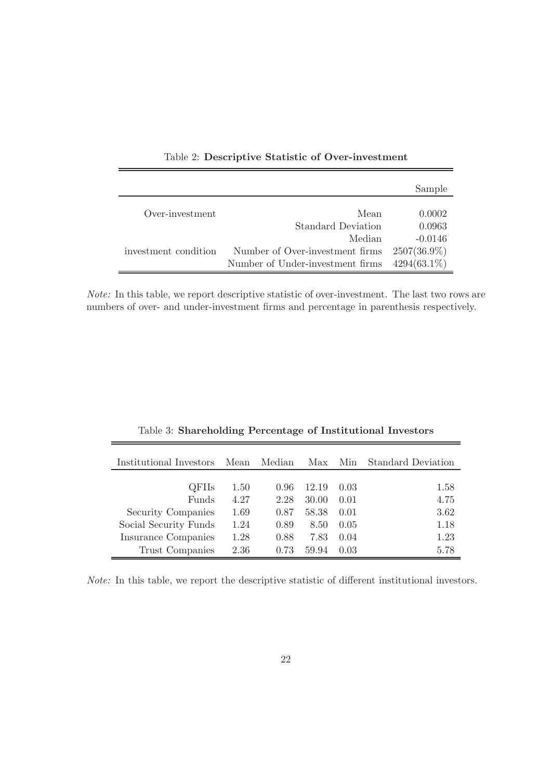|                      |                                  | Sample         |
|----------------------|----------------------------------|----------------|
| Over-investment      | Mean                             | 0.0002         |
|                      | <b>Standard Deviation</b>        | 0.0963         |
|                      | Median                           | $-0.0146$      |
| investment condition | Number of Over-investment firms  | $2507(36.9\%)$ |
|                      | Number of Under-investment firms | $4294(63.1\%)$ |

Table 2: Descriptive Statistic of Over-investment

Note: In this table, we report descriptive statistic of over-investment. The last two rows are numbers of over- and under-investment firms and percentage in parenthesis respectively.

| Institutional Investors | Mean | Median | Max   | Min  | <b>Standard Deviation</b> |
|-------------------------|------|--------|-------|------|---------------------------|
| QFIIs                   | 1.50 | 0.96   | 12.19 | 0.03 | 1.58                      |
| Funds                   | 4.27 | 2.28   | 30.00 | 0.01 | 4.75                      |
| Security Companies      | 1.69 | 0.87   | 58.38 | 0.01 | 3.62                      |
| Social Security Funds   | 1.24 | 0.89   | 8.50  | 0.05 | 1.18                      |
| Insurance Companies     | 1.28 | 0.88   | 7.83  | 0.04 | 1.23                      |
| Trust Companies         | 2.36 | 0.73   | 59.94 | 0.03 | 5.78                      |

Table 3: Shareholding Percentage of Institutional Investors

Note: In this table, we report the descriptive statistic of different institutional investors.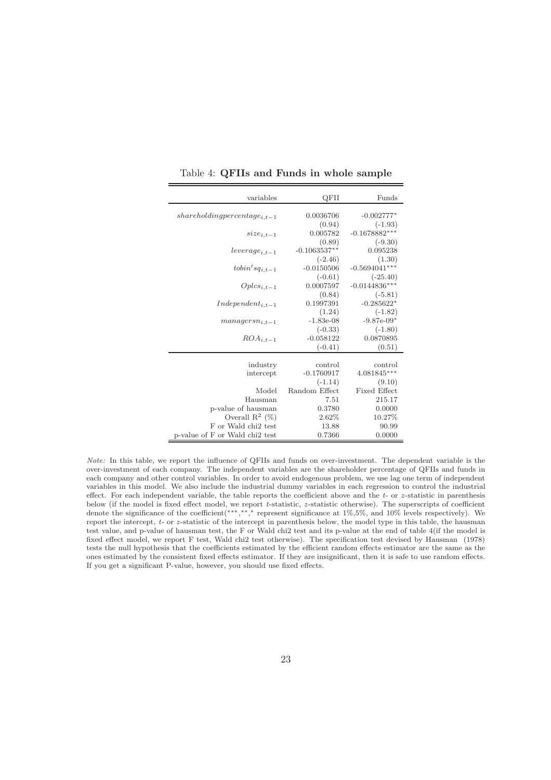| variables                          | QFII           | Funds               |
|------------------------------------|----------------|---------------------|
| $share holding percentage_{i.t-1}$ | 0.0036706      | $-0.002777*$        |
|                                    | (0.94)         | $(-1.93)$           |
| $size_{i,t-1}$                     | 0.005782       | $-0.1678882***$     |
|                                    | (0.89)         | $(-9.30)$           |
| $leverage_{i,t-1}$                 | $-0.1063537**$ | 0.095238            |
|                                    | $(-2.46)$      | (1.30)              |
| $to bin'sq_{i,t-1}$                | $-0.0150506$   | $-0.5694041***$     |
|                                    | $(-0.61)$      | $(-25.40)$          |
| $Oplcs_{i,t-1}$                    | 0.0007597      | $-0.0144836***$     |
|                                    | (0.84)         | $(-5.81)$           |
| $Independent_{i.t-1}$              | 0.1997391      | $-0.285622*$        |
|                                    | (1.24)         | $(-1.82)$           |
| $mangersn_{i.t-1}$                 | $-1.83e-08$    | $-9.87e-09*$        |
|                                    | $(-0.33)$      | $(-1.80)$           |
| $ROA_{i,t-1}$                      | $-0.058122$    | 0.0870895           |
|                                    | $(-0.41)$      | (0.51)              |
|                                    |                |                     |
| industry                           | control        | control             |
| intercept                          | $-0.1760917$   | $4.081845***$       |
|                                    | $(-1.14)$      | (9.10)              |
| Model                              | Random Effect  | <b>Fixed Effect</b> |
| Hausman                            | 7.51           | 215.17              |
| p-value of hausman                 | 0.3780         | 0.0000              |
| Overall $\mathbb{R}^2$ (%)         | 2.62%          | 10.27%              |
| F or Wald chi <sub>2</sub> test    | 13.88          | 90.99               |
| p-value of F or Wald chi2 test     | 0.7366         | 0.0000              |

Table 4: QFIIs and Funds in whole sample

Note: In this table, we report the influence of QFIIs and funds on over-investment. The dependent variable is the over-investment of each company. The independent variables are the shareholder percentage of QFIIs and funds in each company and other control variables. In order to avoid endogenous problem, we use lag one term of independent variables in this model. We also include the industrial dummy variables in each regression to control the industrial effect. For each independent variable, the table reports the coefficient above and the  $t$ - or  $z$ -statistic in parenthesis below (if the model is fixed effect model, we report t-statistic, z-statistic otherwise). The superscripts of coefficient denote the significance of the coefficient(∗∗∗, ∗∗, <sup>∗</sup> represent significance at 1%,5%, and 10% levels respectively). We report the intercept, t- or z-statistic of the intercept in parenthesis below, the model type in this table, the hausman test value, and p-value of hausman test, the F or Wald chi2 test and its p-value at the end of table 4(if the model is fixed effect model, we report F test, Wald chi2 test otherwise). The specification test devised by Hausman (1978) tests the null hypothesis that the coefficients estimated by the efficient random effects estimator are the same as the ones estimated by the consistent fixed effects estimator. If they are insignificant, then it is safe to use random effects. If you get a significant P-value, however, you should use fixed effects.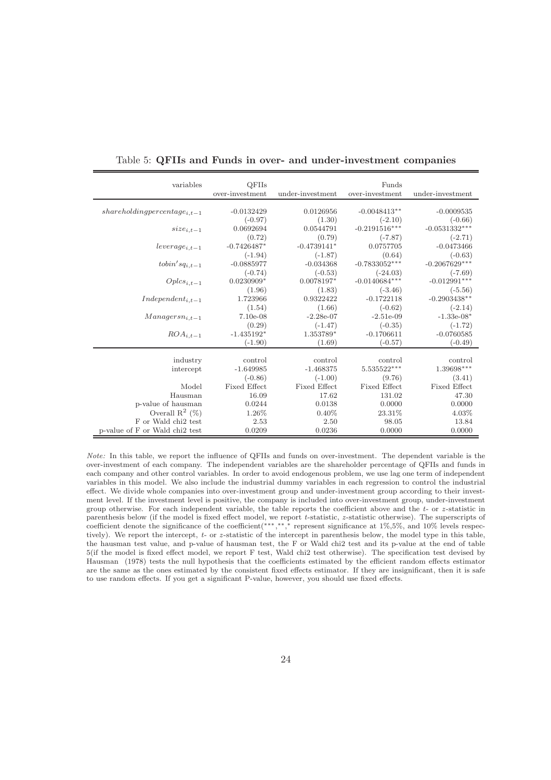| variables                        | <b>QFIIs</b><br>over-investment | under-investment    | Funds<br>over-investment | under-investment        |
|----------------------------------|---------------------------------|---------------------|--------------------------|-------------------------|
|                                  |                                 |                     |                          |                         |
| $sharedoding percentage_{i,t-1}$ | $-0.0132429$                    | 0.0126956           | $-0.0048413**$           | $-0.0009535$            |
|                                  | $(-0.97)$                       | (1.30)              | $(-2.10)$                | $(-0.66)$               |
| $size_{i,t-1}$                   | 0.0692694                       | 0.0544791           | $-0.2191516***$          | $-0.0531332***$         |
|                                  | (0.72)                          | (0.79)              | $(-7.87)$                | $(-2.71)$               |
| $leverage_{i,t-1}$               | $-0.7426487*$                   | $-0.4739141*$       | 0.0757705                | $-0.0473466$            |
|                                  | $(-1.94)$                       | $(-1.87)$           | (0.64)                   | $(-0.63)$               |
| $to bin's q_{i,t-1}$             | $-0.0885977$                    | $-0.034368$         | $-0.7833052***$          | $-0.2067629***$         |
|                                  | $(-0.74)$                       | $(-0.53)$           | $(-24.03)$               | $(-7.69)$               |
| $Oplcs_{i,t-1}$                  | $0.0230909*$                    | 0.0078197*          | $-0.0140684***$          | $-0.012991***$          |
|                                  | (1.96)                          | (1.83)              | $(-3.46)$                | $(-5.56)$               |
| $Independent_{i,t-1}$            | 1.723966                        | 0.9322422           | $-0.1722118$             | $-0.2903438^{\ast\ast}$ |
|                                  | (1.54)                          | (1.66)              | $(-0.62)$                | $(-2.14)$               |
| $Mangersn_{i,t-1}$               | $7.10e-08$                      | $-2.28e-07$         | $-2.51e-09$              | $-1.33e-08*$            |
|                                  | (0.29)                          | $(-1.47)$           | $(-0.35)$                | $(-1.72)$               |
| $ROA_{i,t-1}$                    | $-1.435192*$                    | 1.353789*           | $-0.1706611$             | $-0.0760585$            |
|                                  | $(-1.90)$                       | (1.69)              | $(-0.57)$                | $(-0.49)$               |
|                                  |                                 |                     |                          |                         |
| industry                         | control                         | control             | control                  | control                 |
| intercept                        | $-1.649985$                     | $-1.468375$         | 5.535522***              | 1.39698***              |
|                                  | $(-0.86)$                       | $(-1.00)$           | (9.76)                   | (3.41)                  |
| Model                            | Fixed Effect                    | <b>Fixed Effect</b> | Fixed Effect             | <b>Fixed Effect</b>     |
| Hausman                          | 16.09                           | 17.62               | 131.02                   | 47.30                   |
| p-value of hausman               | 0.0244                          | 0.0138              | 0.0000                   | 0.0000                  |
| Overall $\mathbb{R}^2$ (%)       | 1.26%                           | $0.40\%$            | 23.31%                   | 4.03%                   |
| F or Wald chi2 test              | 2.53                            | 2.50                | 98.05                    | 13.84                   |
| p-value of F or Wald chi2 test   | 0.0209                          | 0.0236              | 0.0000                   | 0.0000                  |

Table 5: QFIIs and Funds in over- and under-investment companies

Note: In this table, we report the influence of QFIIs and funds on over-investment. The dependent variable is the over-investment of each company. The independent variables are the shareholder percentage of QFIIs and funds in each company and other control variables. In order to avoid endogenous problem, we use lag one term of independent variables in this model. We also include the industrial dummy variables in each regression to control the industrial effect. We divide whole companies into over-investment group and under-investment group according to their investment level. If the investment level is positive, the company is included into over-investment group, under-investment group otherwise. For each independent variable, the table reports the coefficient above and the  $t$ - or  $z$ -statistic in parenthesis below (if the model is fixed effect model, we report t-statistic, z-statistic otherwise). The superscripts of coefficient denote the significance of the coefficient(\*\*\*,\*\*,\* represent significance at 1%,5%, and 10% levels respectively). We report the intercept, t- or z-statistic of the intercept in parenthesis below, the model type in this table, the hausman test value, and p-value of hausman test, the F or Wald chi2 test and its p-value at the end of table 5(if the model is fixed effect model, we report F test, Wald chi2 test otherwise). The specification test devised by Hausman (1978) tests the null hypothesis that the coefficients estimated by the efficient random effects estimator are the same as the ones estimated by the consistent fixed effects estimator. If they are insignificant, then it is safe to use random effects. If you get a significant P-value, however, you should use fixed effects.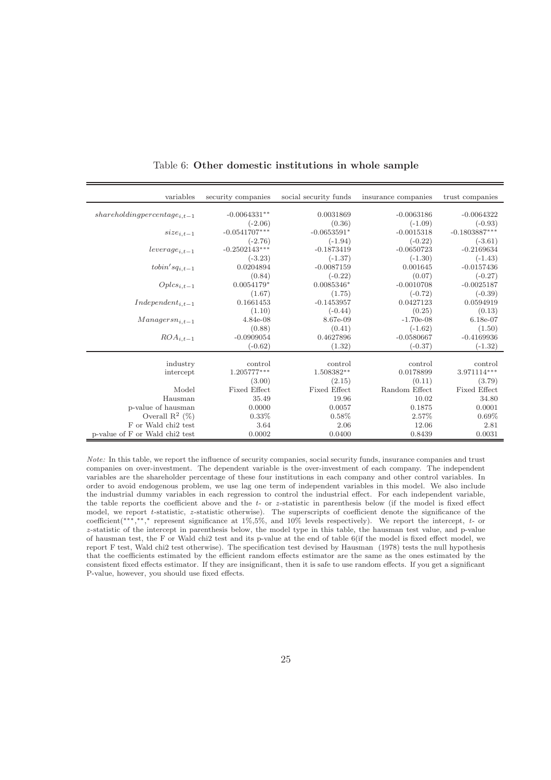| variables                          | security companies | social security funds | insurance companies | trust companies           |
|------------------------------------|--------------------|-----------------------|---------------------|---------------------------|
| $share holding percentage_{i.t-1}$ | $-0.0064331**$     | 0.0031869             | $-0.0063186$        | $-0.0064322$              |
|                                    | $(-2.06)$          | (0.36)                | $(-1.09)$           | $(-0.93)$                 |
| $size_{i,t-1}$                     | $-0.0541707***$    | $-0.0653591*$         | $-0.0015318$        | $-0.1803887***$           |
|                                    | $(-2.76)$          | $(-1.94)$             | $(-0.22)$           | $(-3.61)$                 |
| $leverage_{i,t-1}$                 | $-0.2502143***$    | $-0.1873419$          | $-0.0650723$        | $-0.2169634$              |
|                                    | $(-3.23)$          | $(-1.37)$             | $(-1.30)$           | $(-1.43)$                 |
| $to bin'sq_{i,t-1}$                | 0.0204894          | $-0.0087159$          | 0.001645            | $-0.0157436$              |
|                                    | (0.84)             | $(-0.22)$             | (0.07)              | $(-0.27)$                 |
| $Oplcs_{i,t-1}$                    | $0.0054179*$       | $0.0085346*$          | $-0.0010708$        | $-0.0025187$              |
|                                    | (1.67)             | (1.75)                | $(-0.72)$           | $(-0.39)$                 |
| $Independent_{i,t-1}$              | 0.1661453          | $-0.1453957$          | 0.0427123           | 0.0594919                 |
|                                    | (1.10)             | $(-0.44)$             | (0.25)              | (0.13)                    |
| $Management_{i,t-1}$               | $4.84e-08$         | 8.67e-09              | $-1.70e-08$         | $6.18e-07$                |
|                                    | (0.88)             | (0.41)                | $(-1.62)$           | (1.50)                    |
| $ROA_{i,t-1}$                      | $-0.0909054$       | 0.4627896             | $-0.0580667$        | $-0.4169936$              |
|                                    | $(-0.62)$          | (1.32)                | $(-0.37)$           | $(-1.32)$                 |
|                                    |                    |                       |                     |                           |
| industry                           | control            | control               | control             | control                   |
| intercept                          | $1.205777***$      | 1.508382**            | 0.0178899           | $3.971114^{\ast\ast\ast}$ |
|                                    | (3.00)             | (2.15)                | (0.11)              | (3.79)                    |
| Model                              | Fixed Effect       | Fixed Effect          | Random Effect       | Fixed Effect              |
| Hausman                            | 35.49              | 19.96                 | 10.02               | 34.80                     |
| p-value of hausman                 | 0.0000             | 0.0057                | 0.1875              | 0.0001                    |
| Overall $\mathbb{R}^2$ (%)         | $0.33\%$           | 0.58%                 | 2.57%               | 0.69%                     |
| F or Wald chi2 test                | 3.64               | 2.06                  | 12.06               | 2.81                      |
| p-value of F or Wald chi2 test     | 0.0002             | 0.0400                | 0.8439              | 0.0031                    |

Table 6: Other domestic institutions in whole sample

Note: In this table, we report the influence of security companies, social security funds, insurance companies and trust companies on over-investment. The dependent variable is the over-investment of each company. The independent variables are the shareholder percentage of these four institutions in each company and other control variables. In order to avoid endogenous problem, we use lag one term of independent variables in this model. We also include the industrial dummy variables in each regression to control the industrial effect. For each independent variable, the table reports the coefficient above and the  $t$ - or  $z$ -statistic in parenthesis below (if the model is fixed effect model, we report t-statistic, z-statistic otherwise). The superscripts of coefficient denote the significance of the coefficient(∗∗∗, ∗∗, <sup>∗</sup> represent significance at 1%,5%, and 10% levels respectively). We report the intercept, t- or z -statistic of the intercept in parenthesis below, the model type in this table, the hausman test value, and p-value of hausman test, the F or Wald chi2 test and its p-value at the end of table 6(if the model is fixed effect model, we report F test, Wald chi2 test otherwise). The specification test devised by Hausman (1978) tests the null hypothesis that the coefficients estimated by the efficient random effects estimator are the same as the ones estimated by the consistent fixed effects estimator. If they are insignificant, then it is safe to use random effects. If you get a significant P-value, however, you should use fixed effects.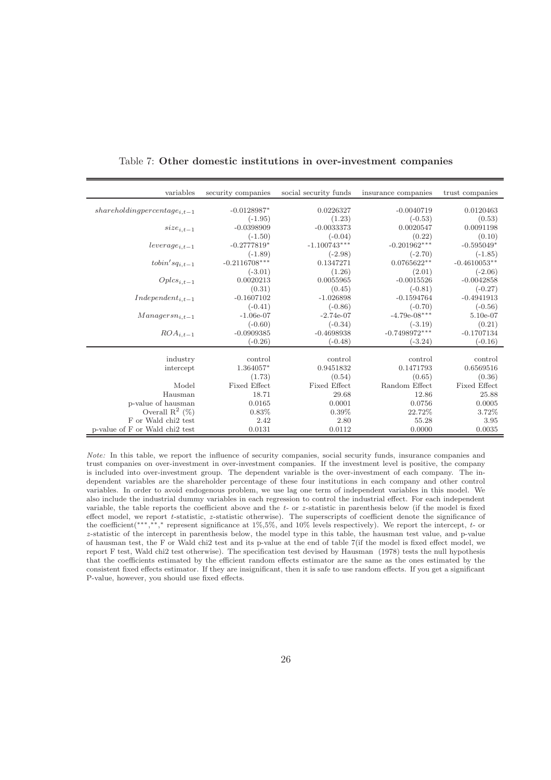| variables                       | security companies | social security funds | insurance companies | trust companies |
|---------------------------------|--------------------|-----------------------|---------------------|-----------------|
|                                 |                    |                       |                     |                 |
| $sharedding percentage_{i.t-1}$ | $-0.0128987*$      | 0.0226327             | $-0.0040719$        | 0.0120463       |
|                                 | $(-1.95)$          | (1.23)                | $(-0.53)$           | (0.53)          |
| $size_{i.t-1}$                  | $-0.0398909$       | $-0.0033373$          | 0.0020547           | 0.0091198       |
|                                 | $(-1.50)$          | $(-0.04)$             | (0.22)              | (0.10)          |
| $leverage_{i,t-1}$              | $-0.2777819*$      | $-1.100743***$        | $-0.201962***$      | $-0.595049*$    |
|                                 | $(-1.89)$          | $(-2.98)$             | $(-2.70)$           | $(-1.85)$       |
| $to bin'sq_{i,t-1}$             | $-0.2116708***$    | 0.1347271             | $0.0765622**$       | $-0.4610053**$  |
|                                 | $(-3.01)$          | (1.26)                | (2.01)              | $(-2.06)$       |
| $Oplcs_{i,t-1}$                 | 0.0020213          | 0.0055965             | $-0.0015526$        | $-0.0042858$    |
|                                 | (0.31)             | (0.45)                | $(-0.81)$           | $(-0.27)$       |
| $Independent_{i,t-1}$           | $-0.1607102$       | $-1.026898$           | $-0.1594764$        | $-0.4941913$    |
|                                 | $(-0.41)$          | $(-0.86)$             | $(-0.70)$           | $(-0.56)$       |
| $Management_{i,t-1}$            | $-1.06e-07$        | $-2.74e-07$           | $-4.79e-08***$      | $5.10e-07$      |
|                                 | $(-0.60)$          | $(-0.34)$             | $(-3.19)$           | (0.21)          |
| $ROA_{i,t-1}$                   | $-0.0909385$       | $-0.4698938$          | $-0.7498972***$     | $-0.1707134$    |
|                                 | $(-0.26)$          | $(-0.48)$             | $(-3.24)$           | $(-0.16)$       |
| industry                        | control            | control               | control             | control         |
|                                 | 1.364057*          | 0.9451832             | 0.1471793           | 0.6569516       |
| intercept                       |                    |                       |                     |                 |
|                                 | (1.73)             | (0.54)                | (0.65)              | (0.36)          |
| Model                           | Fixed Effect       | Fixed Effect          | Random Effect       | Fixed Effect    |
| Hausman                         | 18.71              | 29.68                 | 12.86               | 25.88           |
| p-value of hausman              | 0.0165             | 0.0001                | 0.0756              | 0.0005          |
| Overall $\mathbb{R}^2$ (%)      | $0.83\%$           | $0.39\%$              | 22.72%              | 3.72%           |
| F or Wald chi2 test             | 2.42               | 2.80                  | 55.28               | 3.95            |
| p-value of F or Wald chi2 test  | 0.0131             | 0.0112                | 0.0000              | 0.0035          |

Table 7: Other domestic institutions in over-investment companies

Note: In this table, we report the influence of security companies, social security funds, insurance companies and trust companies on over-investment in over-investment companies. If the investment level is positive, the company is included into over-investment group. The dependent variable is the over-investment of each company. The independent variables are the shareholder percentage of these four institutions in each company and other control variables. In order to avoid endogenous problem, we use lag one term of independent variables in this model. We also include the industrial dummy variables in each regression to control the industrial effect. For each independent variable, the table reports the coefficient above and the  $t$ - or  $z$ -statistic in parenthesis below (if the model is fixed effect model, we report t-statistic, z-statistic otherwise). The superscripts of coefficient denote the significance of the coefficient(\*\*\*,\*\*,\* represent significance at 1%,5%, and 10% levels respectively). We report the intercept, t- or z -statistic of the intercept in parenthesis below, the model type in this table, the hausman test value, and p-value of hausman test, the F or Wald chi2 test and its p-value at the end of table 7(if the model is fixed effect model, we report F test, Wald chi2 test otherwise). The specification test devised by Hausman (1978) tests the null hypothesis that the coefficients estimated by the efficient random effects estimator are the same as the ones estimated by the consistent fixed effects estimator. If they are insignificant, then it is safe to use random effects. If you get a significant P-value, however, you should use fixed effects.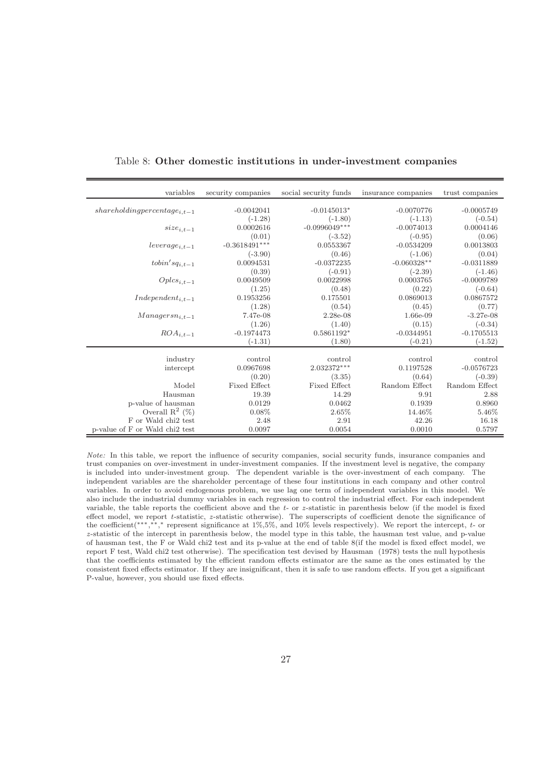| variables                      | security companies  | social security funds | insurance companies | trust companies |
|--------------------------------|---------------------|-----------------------|---------------------|-----------------|
|                                |                     |                       |                     |                 |
| $shareding percentage_{i,t-1}$ | $-0.0042041$        | $-0.0145013*$         | $-0.0070776$        | $-0.0005749$    |
|                                | $(-1.28)$           | $(-1.80)$             | $(-1.13)$           | $(-0.54)$       |
| $size_{i.t-1}$                 | 0.0002616           | $-0.0996049***$       | $-0.0074013$        | 0.0004146       |
|                                | (0.01)              | $(-3.52)$             | $(-0.95)$           | (0.06)          |
| $leverage_{i,t-1}$             | $-0.3618491***$     | 0.0553367             | $-0.0534209$        | 0.0013803       |
|                                | $(-3.90)$           | (0.46)                | $(-1.06)$           | (0.04)          |
| $to bin'sq_{i,t-1}$            | 0.0094531           | $-0.0372235$          | $-0.060328^{**}$    | $-0.0311889$    |
|                                | (0.39)              | $(-0.91)$             | $(-2.39)$           | $(-1.46)$       |
| $Oplcs_{i,t-1}$                | 0.0049509           | 0.0022998             | 0.0003765           | $-0.0009789$    |
|                                | (1.25)              | (0.48)                | (0.22)              | $(-0.64)$       |
| $Independent_{i,t-1}$          | 0.1953256           | 0.175501              | 0.0869013           | 0.0867572       |
|                                | (1.28)              | (0.54)                | (0.45)              | (0.77)          |
| $Management_{i,t-1}$           | 7.47e-08            | $2.28e-08$            | 1.66e-09            | $-3.27e-08$     |
|                                | (1.26)              | (1.40)                | (0.15)              | $(-0.34)$       |
| $ROA_{i,t-1}$                  | $-0.1974473$        | 0.5861192*            | $-0.0344951$        | $-0.1705513$    |
|                                | $(-1.31)$           | (1.80)                | $(-0.21)$           | $(-1.52)$       |
|                                |                     |                       |                     |                 |
| industry                       | control             | control               | control             | control         |
| intercept                      | 0.0967698           | 2.032372***           | 0.1197528           | $-0.0576723$    |
|                                | (0.20)              | (3.35)                | (0.64)              | $(-0.39)$       |
| Model                          | <b>Fixed Effect</b> | <b>Fixed Effect</b>   | Random Effect       | Random Effect   |
| Hausman                        | 19.39               | 14.29                 | 9.91                | 2.88            |
| p-value of hausman             | 0.0129              | 0.0462                | 0.1939              | 0.8960          |
| Overall $\mathbb{R}^2$ (%)     | $0.08\%$            | 2.65%                 | 14.46%              | 5.46%           |
| F or Wald chi2 test            | 2.48                | 2.91                  | 42.26               | 16.18           |
| p-value of F or Wald chi2 test | 0.0097              | 0.0054                | 0.0010              | 0.5797          |

Table 8: Other domestic institutions in under-investment companies

Note: In this table, we report the influence of security companies, social security funds, insurance companies and trust companies on over-investment in under-investment companies. If the investment level is negative, the company is included into under-investment group. The dependent variable is the over-investment of each company. The independent variables are the shareholder percentage of these four institutions in each company and other control variables. In order to avoid endogenous problem, we use lag one term of independent variables in this model. We also include the industrial dummy variables in each regression to control the industrial effect. For each independent variable, the table reports the coefficient above and the  $t$ - or  $z$ -statistic in parenthesis below (if the model is fixed effect model, we report t-statistic, z-statistic otherwise). The superscripts of coefficient denote the significance of the coefficient(\*\*\*,\*\*,\* represent significance at 1%,5%, and 10% levels respectively). We report the intercept, t- or z -statistic of the intercept in parenthesis below, the model type in this table, the hausman test value, and p-value of hausman test, the F or Wald chi2 test and its p-value at the end of table 8(if the model is fixed effect model, we report F test, Wald chi2 test otherwise). The specification test devised by Hausman (1978) tests the null hypothesis that the coefficients estimated by the efficient random effects estimator are the same as the ones estimated by the consistent fixed effects estimator. If they are insignificant, then it is safe to use random effects. If you get a significant P-value, however, you should use fixed effects.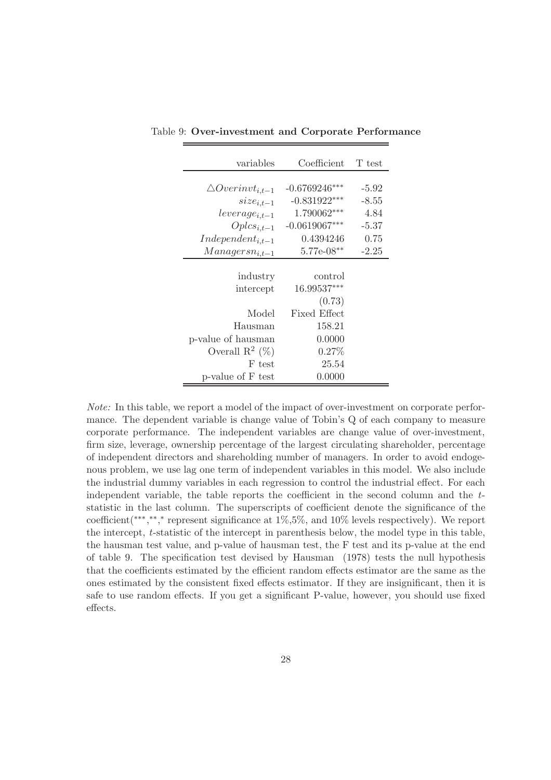| variables                    | Coefficient     | T test  |
|------------------------------|-----------------|---------|
|                              |                 |         |
| $\triangle Overinvt_{i,t-1}$ | $-0.6769246***$ | $-5.92$ |
| $size_{i,t-1}$               | $-0.831922***$  | $-8.55$ |
| $leverage_{i,t-1}$           | 1.790062***     | 4.84    |
| $Oplcs_{i,t-1}$              | $-0.0619067***$ | $-5.37$ |
| $Independent_{i,t-1}$        | 0.4394246       | 0.75    |
| $Management_{i,t-1}$         | $5.77e-08**$    | $-2.25$ |
|                              |                 |         |
| industry                     | control         |         |
| intercept                    | $16.99537***$   |         |
|                              | (0.73)          |         |
| Model                        | Fixed Effect    |         |
| Hausman                      | 158.21          |         |
| p-value of hausman           | 0.0000          |         |
| Overall $\mathbb{R}^2$ (%)   | $0.27\%$        |         |
| F test                       | 25.54           |         |
| p-value of F test            | 0.0000          |         |

Table 9: Over-investment and Corporate Performance

Note: In this table, we report a model of the impact of over-investment on corporate performance. The dependent variable is change value of Tobin's Q of each company to measure corporate performance. The independent variables are change value of over-investment, firm size, leverage, ownership percentage of the largest circulating shareholder, percentage of independent directors and shareholding number of managers. In order to avoid endogenous problem, we use lag one term of independent variables in this model. We also include the industrial dummy variables in each regression to control the industrial effect. For each independent variable, the table reports the coefficient in the second column and the tstatistic in the last column. The superscripts of coefficient denote the significance of the coefficient(\*\*\*,\*\*,\* represent significance at 1%,5%, and 10% levels respectively). We report the intercept, t-statistic of the intercept in parenthesis below, the model type in this table, the hausman test value, and p-value of hausman test, the F test and its p-value at the end of table 9. The specification test devised by Hausman (1978) tests the null hypothesis that the coefficients estimated by the efficient random effects estimator are the same as the ones estimated by the consistent fixed effects estimator. If they are insignificant, then it is safe to use random effects. If you get a significant P-value, however, you should use fixed effects.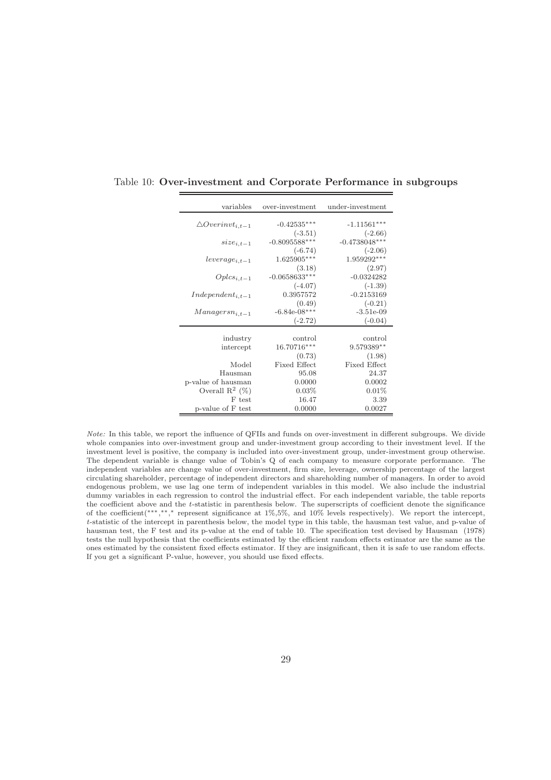| variables                    | over-investment     | under-investment    |
|------------------------------|---------------------|---------------------|
|                              |                     |                     |
| $\triangle Overinvt_{i,t-1}$ | $-0.42535***$       | $-1.11561***$       |
|                              | $(-3.51)$           | $(-2.66)$           |
| $size_{i.t-1}$               | $-0.8095588***$     | $-0.4738048***$     |
|                              | $(-6.74)$           | $(-2.06)$           |
| $leverage_{i,t-1}$           | 1.625905***         | 1.959292***         |
|                              | (3.18)              | (2.97)              |
| $Oplcs_{i,t-1}$              | $-0.0658633***$     | $-0.0324282$        |
|                              | $(-4.07)$           | $(-1.39)$           |
| $Independent_{i,t-1}$        | 0.3957572           | $-0.2153169$        |
|                              | (0.49)              | $(-0.21)$           |
| $Managers_{i,t-1}$           | $-6.84e-08***$      | $-3.51e-09$         |
|                              | $(-2.72)$           | $(-0.04)$           |
|                              |                     |                     |
| industry                     | control             | control             |
| intercept                    | 16.70716***         | $9.579389**$        |
|                              | (0.73)              | (1.98)              |
| Model                        | <b>Fixed Effect</b> | <b>Fixed Effect</b> |
| Hausman                      | 95.08               | 24.37               |
| p-value of hausman           | 0.0000              | 0.0002              |
| Overall $\mathbb{R}^2$ (%)   | 0.03%               | 0.01%               |
| F test                       | 16.47               | 3.39                |
| p-value of F test            | 0.0000              | 0.0027              |

Table 10: Over-investment and Corporate Performance in subgroups

Note: In this table, we report the influence of QFIIs and funds on over-investment in different subgroups. We divide whole companies into over-investment group and under-investment group according to their investment level. If the investment level is positive, the company is included into over-investment group, under-investment group otherwise. The dependent variable is change value of Tobin's Q of each company to measure corporate performance. The independent variables are change value of over-investment, firm size, leverage, ownership percentage of the largest circulating shareholder, percentage of independent directors and shareholding number of managers. In order to avoid endogenous problem, we use lag one term of independent variables in this model. We also include the industrial dummy variables in each regression to control the industrial effect. For each independent variable, the table reports the coefficient above and the t-statistic in parenthesis below. The superscripts of coefficient denote the significance of the coefficient(∗∗∗, ∗∗, <sup>∗</sup> represent significance at 1%,5%, and 10% levels respectively). We report the intercept, t-statistic of the intercept in parenthesis below, the model type in this table, the hausman test value, and p-value of hausman test, the F test and its p-value at the end of table 10. The specification test devised by Hausman (1978) tests the null hypothesis that the coefficients estimated by the efficient random effects estimator are the same as the ones estimated by the consistent fixed effects estimator. If they are insignificant, then it is safe to use random effects. If you get a significant P-value, however, you should use fixed effects.